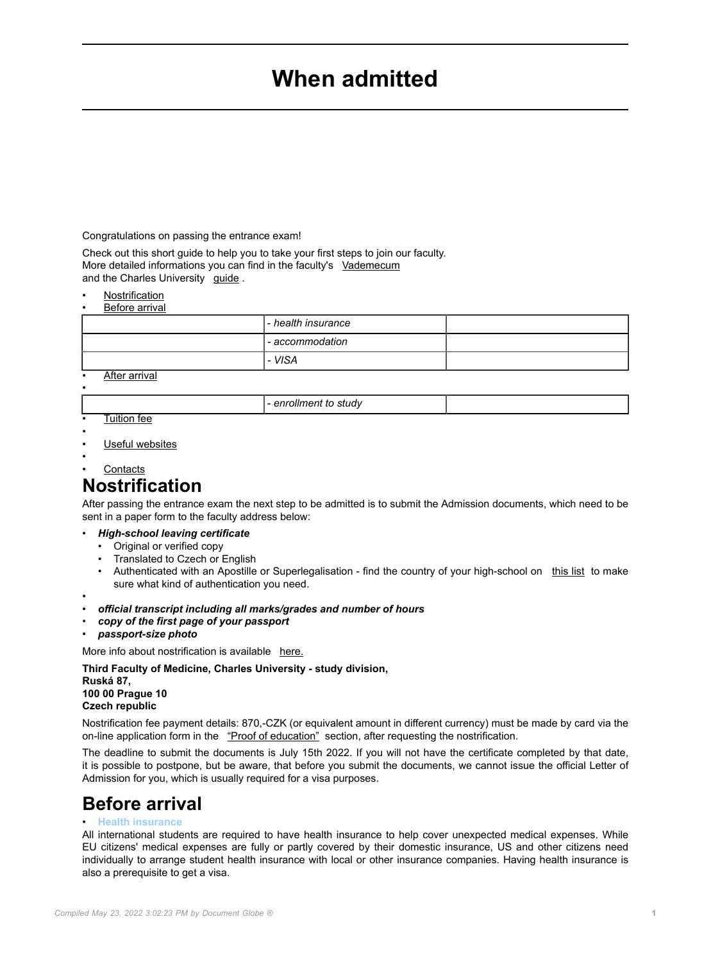# **When admitted**

<span id="page-0-0"></span>Congratulations on passing the entrance exam!

Check out this short guide to help you to take your first steps to join our faculty. More detailed informations you can find in the faculty's [Vademecum](https://www.lf3.cuni.cz/vademecum/en) and the Charles University guide.

**[Nostrification](3LFEN-652.html#7)** • [Before arrival](3LFEN-652.html#2)

| Belore arrival                        |                      |  |  |
|---------------------------------------|----------------------|--|--|
|                                       | l - health insurance |  |  |
|                                       | l - accommodation    |  |  |
|                                       | I - VISA             |  |  |
| $A_{\text{max}}$ and $A_{\text{max}}$ |                      |  |  |

• [After arrival](3LFEN-652.html#3)

- *enrollment to study*

- **[Tuition fee](3LFEN-652.html#4)**
- •

•

- [Useful websites](3LFEN-652.html#5)
- **[Contacts](3LFEN-652.html#6)**

# **Nostrification**

After passing the entrance exam the next step to be admitted is to submit the Admission documents, which need to be sent in a paper form to the faculty address below:

#### • *High-school leaving certificate*

- Original or verified copy
- Translated to Czech or English
- Authenticated with an Apostille or Superlegalisation find the country of your high-school on this list to make sure what kind of authentication you need.
- •
- *official transcript including all marks/grades and number of hours*
- *copy of the first page of your passport*
- *passport-size photo*

More info about nostrification is available here.

**Third Faculty of Medicine, Charles University - study division, Ruská 87, 100 00 Prague 10 Czech republic**

Nostrification fee payment details: 870,-CZK (or equivalent amount in different currency) must be made by card via the on-line application form in the "Proof of education" section, after requesting the nostrification.

The deadline to submit the documents is July 15th 2022. If you will not have the certificate completed by that date, it is possible to postpone, but be aware, that before you submit the documents, we cannot issue the official Letter of Admission for you, which is usually required for a visa purposes.

## **Before arrival**

### • **Health insurance**

All international students are required to have health insurance to help cover unexpected medical expenses. While EU citizens' medical expenses are fully or partly covered by their domestic insurance, US and other citizens need individually to arrange student health insurance with local or other insurance companies. Having health insurance is also a prerequisite to get a visa.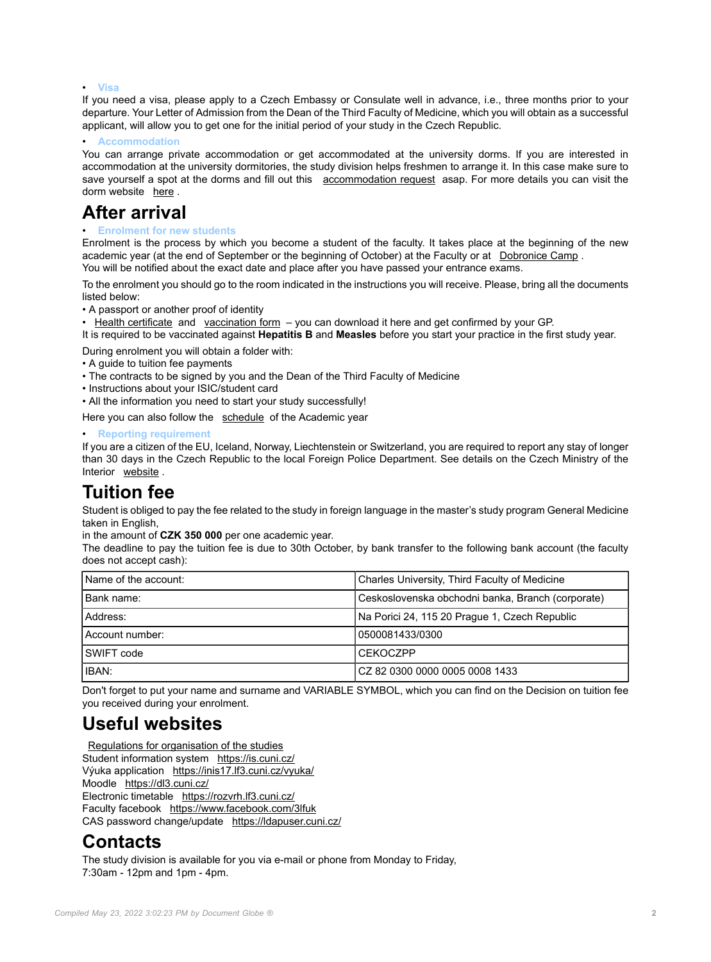#### • **Visa**

If you need a visa, please apply to a Czech Embassy or Consulate well in advance, i.e., three months prior to your departure. Your Letter of Admission from the Dean of the Third Faculty of Medicine, which you will obtain as a successful applicant, will allow you to get one for the initial period of your study in the Czech Republic.

• **Accommodation**

You can arrange private accommodation or get accommodated at the university dorms. If you are interested in accommodation at the university dormitories, the study division helps freshmen to arrange it. In this case make sure to save yourself a spot at the dorms and fill out this [accommodation request](http://dotaznik.lf3.cuni.cz/accommodation) asap. For more details you can visit the dorm website [here](https://kam.cuni.cz/KAMEN-1.html) .

### **After arrival**

### • **Enrolment for new students**

Enrolment is the process by which you become a student of the faculty. It takes place at the beginning of the new academic year (at the end of September or the beginning of October) at the Faculty or at [Dobronice Camp](https://www.lf3.cuni.cz/3LFEN-616.html). You will be notified about the exact date and place after you have passed your entrance exams.

To the enrolment you should go to the room indicated in the instructions you will receive. Please, bring all the documents listed below:

- A passport or another proof of identity
- [Health certificate](#page-0-0) and [vaccination form](#page-0-0)  you can download it here and get confirmed by your GP.

It is required to be vaccinated against **Hepatitis B** and **Measles** before you start your practice in the first study year.

During enrolment you will obtain a folder with:

- A guide to tuition fee payments
- The contracts to be signed by you and the Dean of the Third Faculty of Medicine
- Instructions about your ISIC/student card

• All the information you need to start your study successfully!

Here you can also follow the [schedule](https://www.lf3.cuni.cz/3LFEN-624.html) of the Academic year

• **Reporting requirement**

If you are a citizen of the EU, Iceland, Norway, Liechtenstein or Switzerland, you are required to report any stay of longer than 30 days in the Czech Republic to the local Foreign Police Department. See details on the Czech Ministry of the Interior [website](https://www.mvcr.cz/mvcren/article/information-for-schools-and-students.aspx?q=Y2hudW09Mg%3D%3D) .

## **Tuition fee**

Student is obliged to pay the fee related to the study in foreign language in the master's study program General Medicine taken in English,

in the amount of **CZK 350 000** per one academic year.

The deadline to pay the tuition fee is due to 30th October, by bank transfer to the following bank account (the faculty does not accept cash):

| Name of the account: | Charles University, Third Faculty of Medicine     |  |
|----------------------|---------------------------------------------------|--|
| Bank name:           | Ceskoslovenska obchodni banka, Branch (corporate) |  |
| Address:             | Na Porici 24, 115 20 Prague 1, Czech Republic     |  |
| Account number:      | 0500081433/0300                                   |  |
| <b>SWIFT</b> code    | <b>ICEKOCZPP</b>                                  |  |
| IBAN:                | ICZ 82 0300 0000 0005 0008 1433                   |  |

Don't forget to put your name and surname and VARIABLE SYMBOL, which you can find on the Decision on tuition fee you received during your enrolment.

### **Useful websites**

[Regulations for organisation of the studies](#page-0-0) Student information system [https://is.cuni.cz/](https://is.cuni.cz/studium/eng/index.php?sso_id=e21c0bb271af1511ff1abce5c5628a46) Výuka application <https://inis17.lf3.cuni.cz/vyuka/> Moodle [https://dl3.cuni.cz/](https://dl3.cuni.cz/?lang=en) Electronic timetable [https://rozvrh.lf3.cuni.cz/](https://rozvrh.lf3.cuni.cz/kalendar/) Faculty facebook <https://www.facebook.com/3lfuk> CAS password change/update [https://ldapuser.cuni.cz/](https://ldapuser.cuni.cz/language/switch?lang=en)

### **Contacts**

The study division is available for you via e-mail or phone from Monday to Friday, 7:30am - 12pm and 1pm - 4pm.